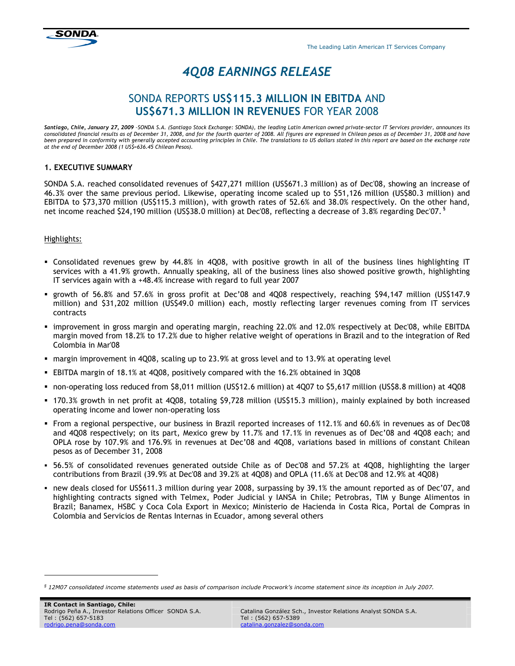The Leading Latin American IT Services Company

# 4Q08 EARNINGS RELEASE

# SONDA REPORTS US\$115.3 MILLION IN EBITDA AND US\$671.3 MILLION IN REVENUES FOR YEAR 2008

Santiago, Chile, January 27, 2009 -SONDA S.A. (Santiago Stock Exchange: SONDA), the leading Latin American owned private-sector IT Services provider, announces its consolidated financial results as of December 31, 2008, and for the fourth quarter of 2008. All figures are expressed in Chilean pesos as of December 31, 2008 and have<br>been prepared in conformity with generally accepted ac at the end of December 2008 (1 US\$=636.45 Chilean Pesos).

# 1. EXECUTIVE SUMMARY

SONDA S.A. reached consolidated revenues of \$427,271 million (US\$671.3 million) as of Dec'08, showing an increase of 46.3% over the same previous period. Likewise, operating income scaled up to \$51,126 million (US\$80.3 million) and EBITDA to \$73,370 million (US\$115.3 million), with growth rates of 52.6% and 38.0% respectively. On the other hand, net income reached \$24,190 million (US\$38.0 million) at Dec'08, reflecting a decrease of 3.8% regarding Dec'07. §

# Highlights:

- Consolidated revenues grew by 44.8% in 4Q08, with positive growth in all of the business lines highlighting IT services with a 41.9% growth. Annually speaking, all of the business lines also showed positive growth, highlighting IT services again with a +48.4% increase with regard to full year 2007
- growth of 56.8% and 57.6% in gross profit at Dec'08 and 4Q08 respectively, reaching \$94,147 million (US\$147.9 million) and \$31,202 million (US\$49.0 million) each, mostly reflecting larger revenues coming from IT services contracts
- improvement in gross margin and operating margin, reaching 22.0% and 12.0% respectively at Dec'08, while EBITDA margin moved from 18.2% to 17.2% due to higher relative weight of operations in Brazil and to the integration of Red Colombia in Mar'08
- margin improvement in 4Q08, scaling up to 23.9% at gross level and to 13.9% at operating level
- EBITDA margin of 18.1% at 4Q08, positively compared with the 16.2% obtained in 3Q08
- non-operating loss reduced from \$8,011 million (US\$12.6 million) at 4Q07 to \$5,617 million (US\$8.8 million) at 4Q08
- 170.3% growth in net profit at 4Q08, totaling \$9,728 million (US\$15.3 million), mainly explained by both increased operating income and lower non-operating loss
- From a regional perspective, our business in Brazil reported increases of 112.1% and 60.6% in revenues as of Dec'08 and 4Q08 respectively; on its part, Mexico grew by 11.7% and 17.1% in revenues as of Dec'08 and 4Q08 each; and OPLA rose by 107.9% and 176.9% in revenues at Dec'08 and 4Q08, variations based in millions of constant Chilean pesos as of December 31, 2008
- 56.5% of consolidated revenues generated outside Chile as of Dec'08 and 57.2% at 4Q08, highlighting the larger contributions from Brazil (39.9% at Dec'08 and 39.2% at 4Q08) and OPLA (11.6% at Dec'08 and 12.9% at 4Q08)
- new deals closed for US\$611.3 million during year 2008, surpassing by 39.1% the amount reported as of Dec'07, and highlighting contracts signed with Telmex, Poder Judicial y IANSA in Chile; Petrobras, TIM y Bunge Alimentos in Brazil; Banamex, HSBC y Coca Cola Export in Mexico; Ministerio de Hacienda in Costa Rica, Portal de Compras in Colombia and Servicios de Rentas Internas in Ecuador, among several others

ł

 $^{\$}$  12M07 consolidated income statements used as basis of comparison include Procwork's income statement since its inception in July 2007.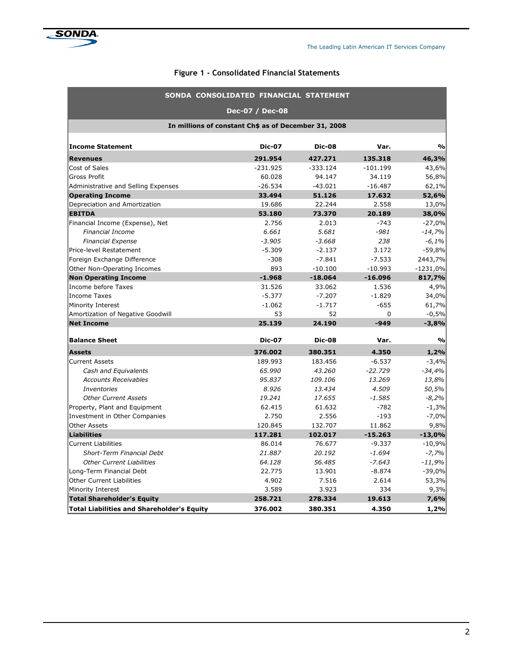

# Figure 1 - Consolidated Financial Statements

|                                                      | SONDA CONSOLIDATED FINANCIAL STATEMENT |               |            |                                   |  |  |  |  |  |
|------------------------------------------------------|----------------------------------------|---------------|------------|-----------------------------------|--|--|--|--|--|
|                                                      | Dec-07 / Dec-08                        |               |            |                                   |  |  |  |  |  |
| In millions of constant Ch\$ as of December 31, 2008 |                                        |               |            |                                   |  |  |  |  |  |
| <b>Income Statement</b>                              | <b>Dic-07</b>                          | <b>Dic-08</b> | Var.       | $\frac{1}{2}$                     |  |  |  |  |  |
| <b>Revenues</b>                                      | 291.954                                | 427.271       | 135.318    | 46,3%                             |  |  |  |  |  |
| Cost of Sales                                        | $-231.925$                             | $-333.124$    | $-101.199$ | 43,6%                             |  |  |  |  |  |
| Gross Profit                                         | 60.028                                 | 94.147        | 34.119     | 56,8%                             |  |  |  |  |  |
| Administrative and Selling Expenses                  | $-26.534$                              | $-43.021$     | $-16.487$  | 62,1%                             |  |  |  |  |  |
| <b>Operating Income</b>                              | 33.494                                 | 51.126        | 17.632     | 52,6%                             |  |  |  |  |  |
| Depreciation and Amortization                        | 19.686                                 | 22.244        | 2.558      | 13,0%                             |  |  |  |  |  |
| <b>EBITDA</b>                                        | 53.180                                 | 73.370        | 20.189     | 38,0%                             |  |  |  |  |  |
| Financial Income (Expense), Net                      | 2.756                                  | 2.013         | $-743$     | $-27,0%$                          |  |  |  |  |  |
| <b>Financial Income</b>                              | 6.661                                  | 5.681         | $-981$     | $-14,7%$                          |  |  |  |  |  |
| <b>Financial Expense</b>                             | $-3.905$                               | $-3.668$      | 238        | $-6,1%$                           |  |  |  |  |  |
| Price-level Restatement                              | $-5.309$                               | $-2.137$      | 3.172      | $-59,8%$                          |  |  |  |  |  |
| Foreign Exchange Difference                          | $-308$                                 | $-7.841$      | $-7.533$   | 2443,7%                           |  |  |  |  |  |
| Other Non-Operating Incomes                          | 893                                    | $-10.100$     | $-10.993$  | $-1231,0%$                        |  |  |  |  |  |
| <b>Non Operating Income</b>                          | $-1.968$                               | $-18.064$     | $-16.096$  | 817,7%                            |  |  |  |  |  |
| Income before Taxes                                  | 31.526                                 | 33.062        | 1.536      | 4,9%                              |  |  |  |  |  |
| Income Taxes                                         | $-5.377$                               | $-7.207$      | $-1.829$   | 34,0%                             |  |  |  |  |  |
| Minority Interest                                    | $-1.062$                               | $-1.717$      | $-655$     | 61,7%                             |  |  |  |  |  |
| Amortization of Negative Goodwill                    | 53                                     | 52            | 0          | $-0,5%$                           |  |  |  |  |  |
| <b>Net Income</b>                                    | 25.139                                 | 24.190        | $-949$     | $-3,8%$                           |  |  |  |  |  |
| <b>Balance Sheet</b>                                 | <b>Dic-07</b>                          | <b>Dic-08</b> | Var.       | $\mathsf{o}\mathsf{v}_\mathsf{o}$ |  |  |  |  |  |
| <b>Assets</b>                                        | 376.002                                | 380.351       | 4.350      | 1,2%                              |  |  |  |  |  |
| <b>Current Assets</b>                                | 189.993                                | 183.456       | $-6.537$   | $-3,4%$                           |  |  |  |  |  |
| Cash and Equivalents                                 | 65,990                                 | 43.260        | $-22.729$  | $-34,4%$                          |  |  |  |  |  |
| <b>Accounts Receivables</b>                          | 95.837                                 | 109.106       | 13.269     | 13,8%                             |  |  |  |  |  |
| <b>Inventories</b>                                   | 8.926                                  | 13.434        | 4.509      | 50,5%                             |  |  |  |  |  |
| <b>Other Current Assets</b>                          | 19.241                                 | 17.655        | $-1.585$   | $-8,2%$                           |  |  |  |  |  |
| Property, Plant and Equipment                        | 62.415                                 | 61.632        | $-782$     | $-1,3%$                           |  |  |  |  |  |
| Investment in Other Companies                        | 2.750                                  | 2.556         | $-193$     | $-7,0%$                           |  |  |  |  |  |
| <b>Other Assets</b>                                  | 120.845                                | 132.707       | 11.862     | 9,8%                              |  |  |  |  |  |
| Liabilities                                          | 117.281                                | 102.017       | $-15.263$  | $-13,0%$                          |  |  |  |  |  |
| <b>Current Liabilities</b>                           | 86.014                                 | 76.677        | $-9.337$   | $-10,9%$                          |  |  |  |  |  |
| Short-Term Financial Debt                            | 21.887                                 | 20.192        | $-1.694$   | $-7,7%$                           |  |  |  |  |  |
| <b>Other Current Liabilities</b>                     | 64.128                                 | 56,485        | $-7.643$   | $-11,9%$                          |  |  |  |  |  |
| Long-Term Financial Debt                             | 22.775                                 | 13.901        | $-8.874$   | $-39,0%$                          |  |  |  |  |  |
| <b>Other Current Liabilities</b>                     | 4.902                                  | 7.516         | 2.614      | 53,3%                             |  |  |  |  |  |
| Minority Interest                                    | 3.589                                  | 3.923         | 334        | 9,3%                              |  |  |  |  |  |
| <b>Total Shareholder's Equity</b>                    | 258.721                                | 278.334       | 19.613     | 7,6%                              |  |  |  |  |  |
| <b>Total Liabilities and Shareholder's Equity</b>    | 376.002                                | 380.351       | 4.350      | 1,2%                              |  |  |  |  |  |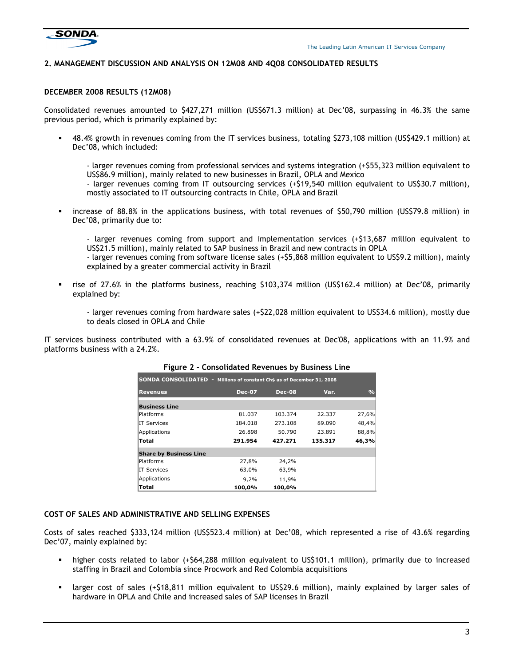

#### 2. MANAGEMENT DISCUSSION AND ANALYSIS ON 12M08 AND 4Q08 CONSOLIDATED RESULTS

#### DECEMBER 2008 RESULTS (12M08)

Consolidated revenues amounted to \$427,271 million (US\$671.3 million) at Dec'08, surpassing in 46.3% the same previous period, which is primarily explained by:

 48.4% growth in revenues coming from the IT services business, totaling \$273,108 million (US\$429.1 million) at Dec'08, which included:

- larger revenues coming from professional services and systems integration (+\$55,323 million equivalent to US\$86.9 million), mainly related to new businesses in Brazil, OPLA and Mexico

- larger revenues coming from IT outsourcing services (+\$19,540 million equivalent to US\$30.7 million), mostly associated to IT outsourcing contracts in Chile, OPLA and Brazil

 increase of 88.8% in the applications business, with total revenues of \$50,790 million (US\$79.8 million) in Dec'08, primarily due to:

- larger revenues coming from support and implementation services (+\$13,687 million equivalent to US\$21.5 million), mainly related to SAP business in Brazil and new contracts in OPLA - larger revenues coming from software license sales (+\$5,868 million equivalent to US\$9.2 million), mainly

explained by a greater commercial activity in Brazil

 rise of 27.6% in the platforms business, reaching \$103,374 million (US\$162.4 million) at Dec'08, primarily explained by:

- larger revenues coming from hardware sales (+\$22,028 million equivalent to US\$34.6 million), mostly due to deals closed in OPLA and Chile

IT services business contributed with a 63.9% of consolidated revenues at Dec'08, applications with an 11.9% and platforms business with a 24.2%.

| <b>SONDA CONSOLIDATED -</b>   | Millions of constant Ch\$ as of December 31, 2008 |               |         |               |
|-------------------------------|---------------------------------------------------|---------------|---------|---------------|
| <b>Revenues</b>               | <b>Dec-07</b>                                     | <b>Dec-08</b> | Var.    | $\frac{0}{0}$ |
| <b>Business Line</b>          |                                                   |               |         |               |
| <b>Platforms</b>              | 81.037                                            | 103.374       | 22.337  | 27,6%         |
| <b>IT Services</b>            | 184.018                                           | 273.108       | 89.090  | 48,4%         |
| Applications                  | 26.898                                            | 50.790        | 23.891  | 88,8%         |
| <b>Total</b>                  | 291.954                                           | 427.271       | 135.317 | 46,3%         |
| <b>Share by Business Line</b> |                                                   |               |         |               |
| <b>Platforms</b>              | 27,8%                                             | 24,2%         |         |               |
| <b>IT Services</b>            | 63,0%                                             | 63,9%         |         |               |
| Applications                  | 9,2%                                              | 11,9%         |         |               |
| Total                         | 100,0%                                            | 100.0%        |         |               |

#### Figure 2 - Consolidated Revenues by Business Line

#### COST OF SALES AND ADMINISTRATIVE AND SELLING EXPENSES

Costs of sales reached \$333,124 million (US\$523.4 million) at Dec'08, which represented a rise of 43.6% regarding Dec'07, mainly explained by:

- higher costs related to labor (+\$64,288 million equivalent to US\$101.1 million), primarily due to increased staffing in Brazil and Colombia since Procwork and Red Colombia acquisitions
- larger cost of sales (+\$18,811 million equivalent to US\$29.6 million), mainly explained by larger sales of hardware in OPLA and Chile and increased sales of SAP licenses in Brazil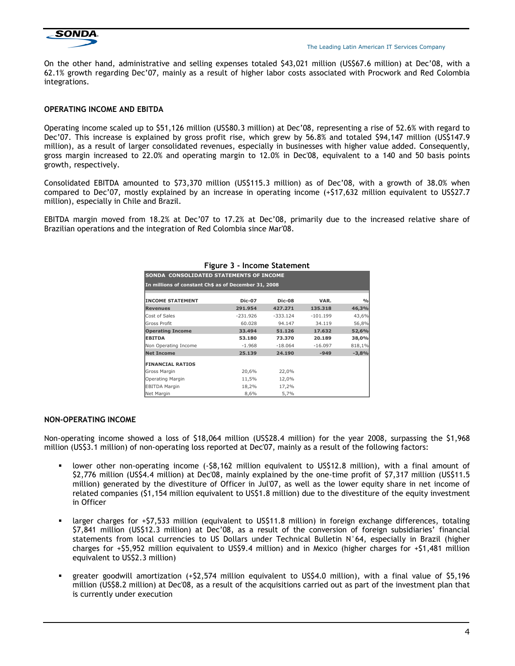

On the other hand, administrative and selling expenses totaled \$43,021 million (US\$67.6 million) at Dec'08, with a 62.1% growth regarding Dec'07, mainly as a result of higher labor costs associated with Procwork and Red Colombia integrations.

#### OPERATING INCOME AND EBITDA

Operating income scaled up to \$51,126 million (US\$80.3 million) at Dec'08, representing a rise of 52.6% with regard to Dec'07. This increase is explained by gross profit rise, which grew by 56.8% and totaled \$94,147 million (US\$147.9 million), as a result of larger consolidated revenues, especially in businesses with higher value added. Consequently, gross margin increased to 22.0% and operating margin to 12.0% in Dec'08, equivalent to a 140 and 50 basis points growth, respectively.

Consolidated EBITDA amounted to \$73,370 million (US\$115.3 million) as of Dec'08, with a growth of 38.0% when compared to Dec'07, mostly explained by an increase in operating income (+\$17,632 million equivalent to US\$27.7 million), especially in Chile and Brazil.

EBITDA margin moved from 18.2% at Dec'07 to 17.2% at Dec'08, primarily due to the increased relative share of Brazilian operations and the integration of Red Colombia since Mar'08.

|                                                      | rigure 3 - income statement |               |            |               |  |  |  |  |  |
|------------------------------------------------------|-----------------------------|---------------|------------|---------------|--|--|--|--|--|
| SONDA CONSOLIDATED STATEMENTS OF INCOME              |                             |               |            |               |  |  |  |  |  |
| In millions of constant Ch\$ as of December 31, 2008 |                             |               |            |               |  |  |  |  |  |
| <b>INCOME STATEMENT</b>                              | <b>Dic-07</b>               | <b>Dic-08</b> | VAR.       | $\frac{0}{0}$ |  |  |  |  |  |
| <b>Revenues</b>                                      | 291.954                     | 427.271       | 135.318    | 46,3%         |  |  |  |  |  |
| Cost of Sales                                        | $-231.926$                  | $-333.124$    | $-101.199$ | 43,6%         |  |  |  |  |  |
| <b>Gross Profit</b>                                  | 60.028                      | 94.147        | 34.119     | 56,8%         |  |  |  |  |  |
| <b>Operating Income</b>                              | 33.494                      | 51.126        | 17.632     | 52,6%         |  |  |  |  |  |
| <b>EBITDA</b>                                        | 53.180                      | 73.370        | 20.189     | 38,0%         |  |  |  |  |  |
| Non Operating Income                                 | $-1.968$                    | $-18.064$     | $-16.097$  | 818,1%        |  |  |  |  |  |
| Net Income                                           | 25.139                      | 24.190        | $-949$     | $-3,8%$       |  |  |  |  |  |
| <b>FINANCIAL RATIOS</b>                              |                             |               |            |               |  |  |  |  |  |
| Gross Margin                                         | 20,6%                       | 22,0%         |            |               |  |  |  |  |  |
| Operating Margin                                     | 11,5%                       | 12,0%         |            |               |  |  |  |  |  |
| <b>EBITDA Margin</b>                                 | 18,2%                       | 17,2%         |            |               |  |  |  |  |  |
| Net Margin                                           | 8,6%                        | 5,7%          |            |               |  |  |  |  |  |

#### Figure 3 - Income Statement

#### NON-OPERATING INCOME

Non-operating income showed a loss of \$18,064 million (US\$28.4 million) for the year 2008, surpassing the \$1,968 million (US\$3.1 million) of non-operating loss reported at Dec'07, mainly as a result of the following factors:

- lower other non-operating income (-\$8,162 million equivalent to US\$12.8 million), with a final amount of \$2,776 million (US\$4.4 million) at Dec'08, mainly explained by the one-time profit of \$7,317 million (US\$11.5 million) generated by the divestiture of Officer in Jul'07, as well as the lower equity share in net income of related companies (\$1,154 million equivalent to US\$1.8 million) due to the divestiture of the equity investment in Officer
- larger charges for +\$7,533 million (equivalent to US\$11.8 million) in foreign exchange differences, totaling \$7,841 million (US\$12.3 million) at Dec'08, as a result of the conversion of foreign subsidiaries' financial statements from local currencies to US Dollars under Technical Bulletin N°64, especially in Brazil (higher charges for +\$5,952 million equivalent to US\$9.4 million) and in Mexico (higher charges for +\$1,481 million equivalent to US\$2.3 million)
- greater goodwill amortization (+\$2,574 million equivalent to US\$4.0 million), with a final value of \$5,196 million (US\$8.2 million) at Dec'08, as a result of the acquisitions carried out as part of the investment plan that is currently under execution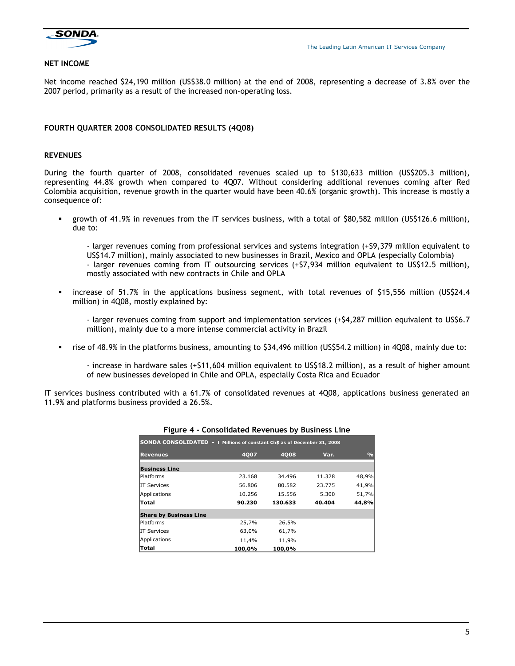

#### NET INCOME

Net income reached \$24,190 million (US\$38.0 million) at the end of 2008, representing a decrease of 3.8% over the 2007 period, primarily as a result of the increased non-operating loss.

#### FOURTH QUARTER 2008 CONSOLIDATED RESULTS (4Q08)

#### REVENUES

During the fourth quarter of 2008, consolidated revenues scaled up to \$130,633 million (US\$205.3 million), representing 44.8% growth when compared to 4Q07. Without considering additional revenues coming after Red Colombia acquisition, revenue growth in the quarter would have been 40.6% (organic growth). This increase is mostly a consequence of:

 growth of 41.9% in revenues from the IT services business, with a total of \$80,582 million (US\$126.6 million), due to:

- larger revenues coming from professional services and systems integration (+\$9,379 million equivalent to US\$14.7 million), mainly associated to new businesses in Brazil, Mexico and OPLA (especially Colombia) - larger revenues coming from IT outsourcing services (+\$7,934 million equivalent to US\$12.5 million), mostly associated with new contracts in Chile and OPLA

 increase of 51.7% in the applications business segment, with total revenues of \$15,556 million (US\$24.4 million) in 4Q08, mostly explained by:

- larger revenues coming from support and implementation services (+\$4,287 million equivalent to US\$6.7 million), mainly due to a more intense commercial activity in Brazil

rise of 48.9% in the platforms business, amounting to \$34,496 million (US\$54.2 million) in 4Q08, mainly due to:

- increase in hardware sales (+\$11,604 million equivalent to US\$18.2 million), as a result of higher amount of new businesses developed in Chile and OPLA, especially Costa Rica and Ecuador

IT services business contributed with a 61.7% of consolidated revenues at 4Q08, applications business generated an 11.9% and platforms business provided a 26.5%.

| SONDA CONSOLIDATED -   Millions of constant Ch\$ as of December 31, 2008 |             |             |        |               |  |  |  |  |  |
|--------------------------------------------------------------------------|-------------|-------------|--------|---------------|--|--|--|--|--|
| <b>Revenues</b>                                                          | <b>4007</b> | <b>4008</b> | Var.   | $\frac{0}{0}$ |  |  |  |  |  |
| <b>Business Line</b>                                                     |             |             |        |               |  |  |  |  |  |
| lPlatforms                                                               | 23.168      | 34.496      | 11.328 | 48,9%         |  |  |  |  |  |
| <b>IT Services</b>                                                       | 56.806      | 80.582      | 23.775 | 41,9%         |  |  |  |  |  |
| Applications                                                             | 10.256      | 15.556      | 5.300  | 51,7%         |  |  |  |  |  |
| Total                                                                    | 90.230      | 130.633     | 40.404 | 44.8%         |  |  |  |  |  |
| <b>Share by Business Line</b>                                            |             |             |        |               |  |  |  |  |  |
| <b>Platforms</b>                                                         | 25,7%       | 26,5%       |        |               |  |  |  |  |  |
| IIT Services                                                             | 63,0%       | 61,7%       |        |               |  |  |  |  |  |
| Applications                                                             | 11,4%       | 11,9%       |        |               |  |  |  |  |  |
| Total                                                                    | 100,0%      | 100,0%      |        |               |  |  |  |  |  |

#### Figure 4 - Consolidated Revenues by Business Line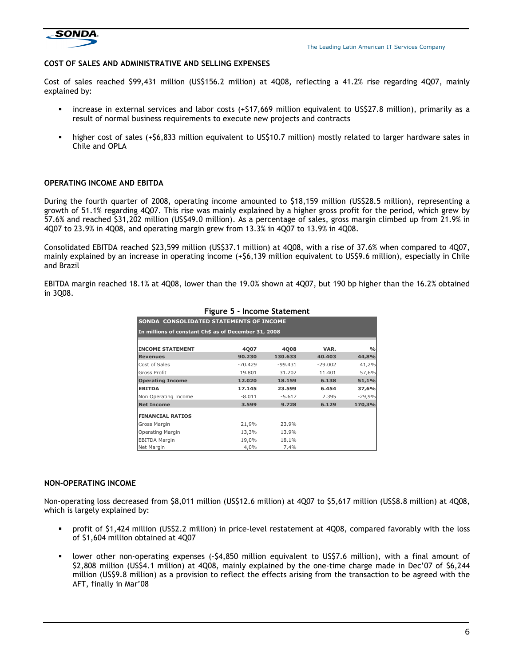

The Leading Latin American IT Services Company

#### COST OF SALES AND ADMINISTRATIVE AND SELLING EXPENSES

Cost of sales reached \$99,431 million (US\$156.2 million) at 4Q08, reflecting a 41.2% rise regarding 4Q07, mainly explained by:

- increase in external services and labor costs (+\$17,669 million equivalent to US\$27.8 million), primarily as a result of normal business requirements to execute new projects and contracts
- higher cost of sales (+\$6,833 million equivalent to US\$10.7 million) mostly related to larger hardware sales in Chile and OPLA

#### OPERATING INCOME AND EBITDA

During the fourth quarter of 2008, operating income amounted to \$18,159 million (US\$28.5 million), representing a growth of 51.1% regarding 4Q07. This rise was mainly explained by a higher gross profit for the period, which grew by 57.6% and reached \$31,202 million (US\$49.0 million). As a percentage of sales, gross margin climbed up from 21.9% in 4Q07 to 23.9% in 4Q08, and operating margin grew from 13.3% in 4Q07 to 13.9% in 4Q08.

Consolidated EBITDA reached \$23,599 million (US\$37.1 million) at 4Q08, with a rise of 37.6% when compared to 4Q07, mainly explained by an increase in operating income (+\$6,139 million equivalent to US\$9.6 million), especially in Chile and Brazil

EBITDA margin reached 18.1% at 4Q08, lower than the 19.0% shown at 4Q07, but 190 bp higher than the 16.2% obtained in 3Q08.

| SONDA CONSOLIDATED STATEMENTS OF INCOME              |           |           |           |               |  |  |  |  |
|------------------------------------------------------|-----------|-----------|-----------|---------------|--|--|--|--|
| In millions of constant Ch\$ as of December 31, 2008 |           |           |           |               |  |  |  |  |
|                                                      |           |           |           |               |  |  |  |  |
| <b>INCOME STATEMENT</b>                              | 4007      | 4008      | VAR.      | $\frac{0}{0}$ |  |  |  |  |
| <b>Revenues</b>                                      | 90.230    | 130.633   | 40.403    | 44,8%         |  |  |  |  |
| Cost of Sales                                        | $-70.429$ | $-99.431$ | $-29.002$ | 41,2%         |  |  |  |  |
| <b>Gross Profit</b>                                  | 19.801    | 31.202    | 11.401    | 57,6%         |  |  |  |  |
| <b>Operating Income</b>                              | 12.020    | 18.159    | 6.138     | 51,1%         |  |  |  |  |
| <b>EBITDA</b>                                        | 17.145    | 23.599    | 6.454     | 37,6%         |  |  |  |  |
| Non Operating Income                                 | $-8.011$  | $-5.617$  | 2.395     | $-29,9%$      |  |  |  |  |
| <b>Net Income</b>                                    | 3.599     | 9.728     | 6.129     | 170,3%        |  |  |  |  |
| <b>FINANCIAL RATIOS</b>                              |           |           |           |               |  |  |  |  |
| Gross Margin                                         | 21,9%     | 23,9%     |           |               |  |  |  |  |
| Operating Margin                                     | 13,3%     | 13,9%     |           |               |  |  |  |  |
| <b>EBITDA Margin</b>                                 | 19,0%     | 18,1%     |           |               |  |  |  |  |
| Net Margin                                           | 4,0%      | 7,4%      |           |               |  |  |  |  |

#### Figure 5 - Income Statement

#### NON-OPERATING INCOME

Non-operating loss decreased from \$8,011 million (US\$12.6 million) at 4Q07 to \$5,617 million (US\$8.8 million) at 4Q08, which is largely explained by:

- profit of \$1,424 million (US\$2.2 million) in price-level restatement at 4Q08, compared favorably with the loss of \$1,604 million obtained at 4Q07
- lower other non-operating expenses (-\$4,850 million equivalent to US\$7.6 million), with a final amount of \$2,808 million (US\$4.1 million) at 4Q08, mainly explained by the one-time charge made in Dec'07 of \$6,244 million (US\$9.8 million) as a provision to reflect the effects arising from the transaction to be agreed with the AFT, finally in Mar'08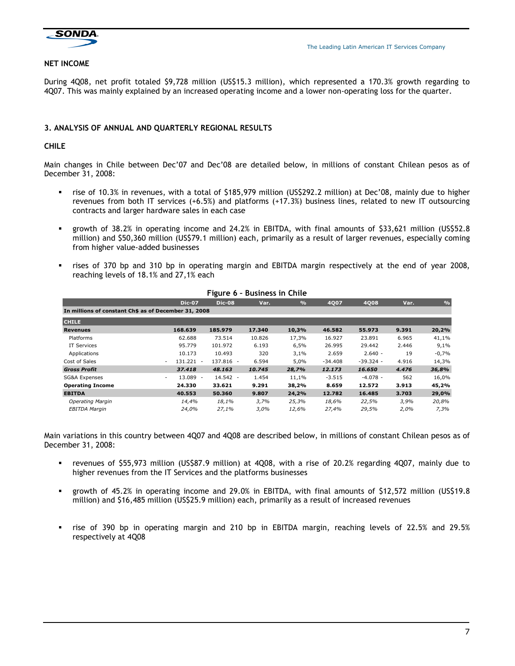

#### NET INCOME

During 4Q08, net profit totaled \$9,728 million (US\$15.3 million), which represented a 170.3% growth regarding to 4Q07. This was mainly explained by an increased operating income and a lower non-operating loss for the quarter.

### 3. ANALYSIS OF ANNUAL AND QUARTERLY REGIONAL RESULTS

#### CHILE

Main changes in Chile between Dec'07 and Dec'08 are detailed below, in millions of constant Chilean pesos as of December 31, 2008:

- rise of 10.3% in revenues, with a total of \$185,979 million (US\$292.2 million) at Dec'08, mainly due to higher revenues from both IT services (+6.5%) and platforms (+17.3%) business lines, related to new IT outsourcing contracts and larger hardware sales in each case
- growth of 38.2% in operating income and 24.2% in EBITDA, with final amounts of \$33,621 million (US\$52.8 million) and \$50,360 million (US\$79.1 million) each, primarily as a result of larger revenues, especially coming from higher value-added businesses
- rises of 370 bp and 310 bp in operating margin and EBITDA margin respectively at the end of year 2008, reaching levels of 18.1% and 27,1% each

|                                                      |                        |               | LIRALE O - DUSILIESS III CHILE |               |           |             |       |               |
|------------------------------------------------------|------------------------|---------------|--------------------------------|---------------|-----------|-------------|-------|---------------|
|                                                      | <b>Dic-07</b>          | <b>Dic-08</b> | Var.                           | $\frac{9}{6}$ | 4007      | 4008        | Var.  | $\frac{0}{0}$ |
| In millions of constant Ch\$ as of December 31, 2008 |                        |               |                                |               |           |             |       |               |
| <b>CHILE</b>                                         |                        |               |                                |               |           |             |       |               |
| <b>Revenues</b>                                      | 168.639                | 185.979       | 17.340                         | 10,3%         | 46.582    | 55.973      | 9.391 | 20,2%         |
| Platforms                                            | 62.688                 | 73.514        | 10.826                         | 17,3%         | 16.927    | 23.891      | 6.965 | 41,1%         |
| <b>IT Services</b>                                   | 95.779                 | 101.972       | 6.193                          | 6,5%          | 26.995    | 29.442      | 2.446 | 9,1%          |
| Applications                                         | 10.173                 | 10.493        | 320                            | 3,1%          | 2.659     | $2.640 -$   | 19    | $-0,7%$       |
| Cost of Sales                                        | 131.221                | 137.816 -     | 6.594                          | 5,0%          | $-34.408$ | $-39.324 -$ | 4.916 | 14,3%         |
| <b>Gross Profit</b>                                  | 37.418                 | 48.163        | 10.745                         | 28,7%         | 12.173    | 16.650      | 4.476 | 36,8%         |
| SG&A Expenses                                        | 13.089<br>$\sim$<br>۰. | $14.542 -$    | 1.454                          | 11,1%         | $-3.515$  | $-4.078 -$  | 562   | 16,0%         |
| <b>Operating Income</b>                              | 24.330                 | 33.621        | 9.291                          | 38,2%         | 8.659     | 12.572      | 3.913 | 45,2%         |
| <b>EBITDA</b>                                        | 40.553                 | 50.360        | 9.807                          | 24,2%         | 12.782    | 16.485      | 3.703 | 29,0%         |
| <b>Operating Margin</b>                              | 14,4%                  | 18,1%         | 3.7%                           | 25,3%         | 18,6%     | 22,5%       | 3,9%  | 20,8%         |
| <b>EBITDA Margin</b>                                 | 24,0%                  | 27,1%         | 3,0%                           | 12,6%         | 27,4%     | 29,5%       | 2,0%  | 7,3%          |

# Figure 6 – Business in Chile

Main variations in this country between 4Q07 and 4Q08 are described below, in millions of constant Chilean pesos as of December 31, 2008:

- revenues of \$55,973 million (US\$87.9 million) at 4Q08, with a rise of 20.2% regarding 4Q07, mainly due to higher revenues from the IT Services and the platforms businesses
- growth of 45.2% in operating income and 29.0% in EBITDA, with final amounts of \$12,572 million (US\$19.8 million) and \$16,485 million (US\$25.9 million) each, primarily as a result of increased revenues
- rise of 390 bp in operating margin and 210 bp in EBITDA margin, reaching levels of 22.5% and 29.5% respectively at 4Q08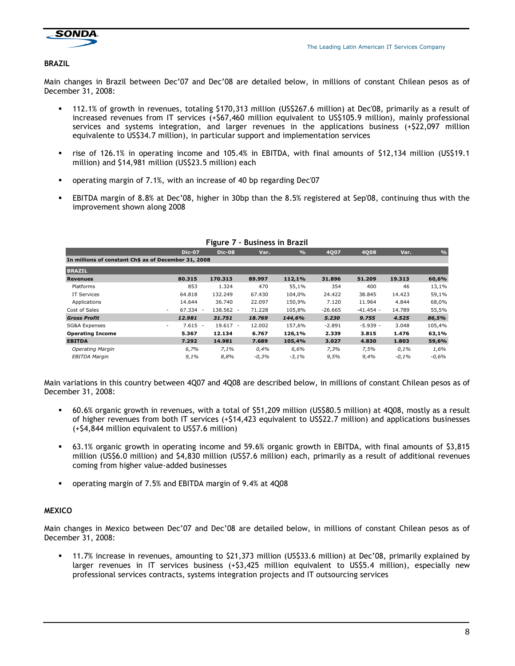

#### BRAZIL

Main changes in Brazil between Dec'07 and Dec'08 are detailed below, in millions of constant Chilean pesos as of December 31, 2008:

- 112.1% of growth in revenues, totaling \$170,313 million (US\$267.6 million) at Dec'08, primarily as a result of increased revenues from IT services (+\$67,460 million equivalent to US\$105.9 million), mainly professional services and systems integration, and larger revenues in the applications business (+\$22,097 million equivalente to US\$34.7 million), in particular support and implementation services
- rise of 126.1% in operating income and 105.4% in EBITDA, with final amounts of \$12,134 million (US\$19.1 million) and \$14,981 million (US\$23.5 million) each
- operating margin of 7.1%, with an increase of 40 bp regarding Dec'07
- EBITDA margin of 8.8% at Dec'08, higher in 30bp than the 8.5% registered at Sep'08, continuing thus with the improvement shown along 2008

|                                                      | <b>Dic-07</b>                         | <b>Dic-08</b> | Var.    | $\frac{9}{6}$ | 4007      | 4008        | Var.    | $\frac{0}{0}$ |
|------------------------------------------------------|---------------------------------------|---------------|---------|---------------|-----------|-------------|---------|---------------|
| In millions of constant Ch\$ as of December 31, 2008 |                                       |               |         |               |           |             |         |               |
| <b>BRAZIL</b>                                        |                                       |               |         |               |           |             |         |               |
| <b>Revenues</b>                                      | 80.315                                | 170.313       | 89.997  | 112,1%        | 31.896    | 51.209      | 19.313  | 60,6%         |
| Platforms                                            | 853                                   | 1.324         | 470     | 55,1%         | 354       | 400         | 46      | 13,1%         |
| <b>IT Services</b>                                   | 64.818                                | 132.249       | 67.430  | 104.0%        | 24.422    | 38.845      | 14.423  | 59,1%         |
| Applications                                         | 14.644                                | 36.740        | 22.097  | 150,9%        | 7.120     | 11.964      | 4.844   | 68,0%         |
| Cost of Sales                                        | 67.334 -<br>$\sim$                    | 138.562 -     | 71.228  | 105,8%        | $-26.665$ | $-41.454 -$ | 14.789  | 55,5%         |
| <b>Gross Profit</b>                                  | 12.981                                | 31.751        | 18.769  | 144,6%        | 5.230     | 9.755       | 4.525   | 86,5%         |
| SG&A Expenses                                        | $7.615 -$<br>$\overline{\phantom{a}}$ | $19.617 -$    | 12.002  | 157,6%        | $-2.891$  | $-5.939 -$  | 3.048   | 105,4%        |
| <b>Operating Income</b>                              | 5.367                                 | 12.134        | 6.767   | 126,1%        | 2.339     | 3.815       | 1.476   | 63,1%         |
| <b>EBITDA</b>                                        | 7.292                                 | 14.981        | 7.689   | 105,4%        | 3.027     | 4.830       | 1.803   | 59,6%         |
| <b>Operating Margin</b>                              | 6,7%                                  | 7,1%          | 0,4%    | 6,6%          | 7,3%      | 7,5%        | 0,1%    | 1,6%          |
| <b>EBITDA Margin</b>                                 | 9,1%                                  | 8,8%          | $-0,3%$ | $-3,1%$       | 9,5%      | 9,4%        | $-0.1%$ | $-0.6%$       |
|                                                      |                                       |               |         |               |           |             |         |               |

#### Figure 7 – Business in Brazil

Main variations in this country between 4Q07 and 4Q08 are described below, in millions of constant Chilean pesos as of December 31, 2008:

- 60.6% organic growth in revenues, with a total of \$51,209 million (US\$80.5 million) at 4Q08, mostly as a result of higher revenues from both IT services (+\$14,423 equivalent to US\$22.7 million) and applications businesses (+\$4,844 million equivalent to US\$7.6 million)
- 63.1% organic growth in operating income and 59.6% organic growth in EBITDA, with final amounts of \$3,815 million (US\$6.0 million) and \$4,830 million (US\$7.6 million) each, primarily as a result of additional revenues coming from higher value-added businesses
- operating margin of 7.5% and EBITDA margin of 9.4% at 4Q08

### **MEXICO**

Main changes in Mexico between Dec'07 and Dec'08 are detailed below, in millions of constant Chilean pesos as of December 31, 2008:

 11.7% increase in revenues, amounting to \$21,373 million (US\$33.6 million) at Dec'08, primarily explained by larger revenues in IT services business (+\$3,425 million equivalent to US\$5.4 million), especially new professional services contracts, systems integration projects and IT outsourcing services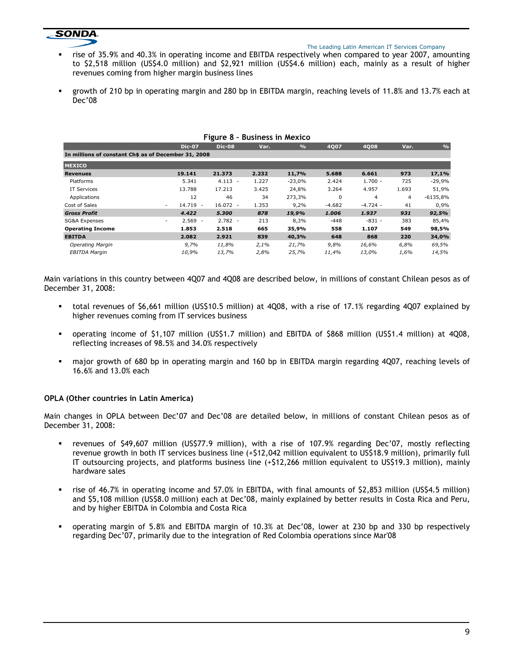# **SONDA.**

#### The Leading Latin American IT Services Company

- rise of 35.9% and 40.3% in operating income and EBITDA respectively when compared to year 2007, amounting to \$2,518 million (US\$4.0 million) and \$2,921 million (US\$4.6 million) each, mainly as a result of higher revenues coming from higher margin business lines
- growth of 210 bp in operating margin and 280 bp in EBITDA margin, reaching levels of 11.8% and 13.7% each at Dec'08

|                                                      |                 | Figure 8 - Business in Mexico          |       |               |          |            |       |               |
|------------------------------------------------------|-----------------|----------------------------------------|-------|---------------|----------|------------|-------|---------------|
|                                                      | <b>Dic-07</b>   | <b>Dic-08</b>                          | Var.  | $\frac{9}{6}$ | 4007     | 4008       | Var.  | $\frac{0}{0}$ |
| In millions of constant Ch\$ as of December 31, 2008 |                 |                                        |       |               |          |            |       |               |
| <b>MEXICO</b>                                        |                 |                                        |       |               |          |            |       |               |
| <b>Revenues</b>                                      | 19.141          | 21.373                                 | 2.232 | 11,7%         | 5.688    | 6.661      | 973   | 17,1%         |
| Platforms                                            | 5.341           | $4.113 -$                              | 1.227 | $-23,0%$      | 2.424    | $1.700 -$  | 725   | $-29,9%$      |
| <b>IT Services</b>                                   | 13.788          | 17.213                                 | 3.425 | 24,8%         | 3.264    | 4.957      | 1.693 | 51,9%         |
| Applications                                         | 12              | 46                                     | 34    | 273,3%        | $\Omega$ | 4          | 4     | $-6135,8%$    |
| Cost of Sales                                        | 14.719<br>۰.    | $16.072 -$<br>$\overline{\phantom{a}}$ | 1.353 | 9,2%          | $-4.682$ | $-4.724 -$ | 41    | 0,9%          |
| <b>Gross Profit</b>                                  | 4.422           | 5.300                                  | 878   | 19,9%         | 1.006    | 1.937      | 931   | 92,5%         |
| SG&A Expenses                                        | $2.569 -$<br>۰. | $2.782 -$                              | 213   | 8,3%          | $-448$   | $-831 -$   | 383   | 85,4%         |
| <b>Operating Income</b>                              | 1.853           | 2.518                                  | 665   | 35,9%         | 558      | 1.107      | 549   | 98,5%         |
| <b>EBITDA</b>                                        | 2.082           | 2.921                                  | 839   | 40,3%         | 648      | 868        | 220   | 34,0%         |
| <b>Operating Margin</b>                              | 9,7%            | 11,8%                                  | 2,1%  | 21,7%         | 9,8%     | 16,6%      | 6,8%  | 69,5%         |
| <b>EBITDA Margin</b>                                 | 10,9%           | 13,7%                                  | 2,8%  | 25,7%         | 11,4%    | 13,0%      | 1,6%  | 14,5%         |

### Figure 8 – Business in Mexico

Main variations in this country between 4Q07 and 4Q08 are described below, in millions of constant Chilean pesos as of December 31, 2008:

- total revenues of \$6,661 million (US\$10.5 million) at 4Q08, with a rise of 17.1% regarding 4Q07 explained by higher revenues coming from IT services business
- operating income of \$1,107 million (US\$1.7 million) and EBITDA of \$868 million (US\$1.4 million) at 4Q08, reflecting increases of 98.5% and 34.0% respectively
- major growth of 680 bp in operating margin and 160 bp in EBITDA margin regarding 4Q07, reaching levels of 16.6% and 13.0% each

### OPLA (Other countries in Latin America)

Main changes in OPLA between Dec'07 and Dec'08 are detailed below, in millions of constant Chilean pesos as of December 31, 2008:

- revenues of \$49,607 million (US\$77.9 million), with a rise of 107.9% regarding Dec'07, mostly reflecting revenue growth in both IT services business line (+\$12,042 million equivalent to US\$18.9 million), primarily full IT outsourcing projects, and platforms business line (+\$12,266 million equivalent to US\$19.3 million), mainly hardware sales
- rise of 46.7% in operating income and 57.0% in EBITDA, with final amounts of \$2,853 million (US\$4.5 million) and \$5,108 million (US\$8.0 million) each at Dec'08, mainly explained by better results in Costa Rica and Peru, and by higher EBITDA in Colombia and Costa Rica
- operating margin of 5.8% and EBITDA margin of 10.3% at Dec'08, lower at 230 bp and 330 bp respectively regarding Dec'07, primarily due to the integration of Red Colombia operations since Mar'08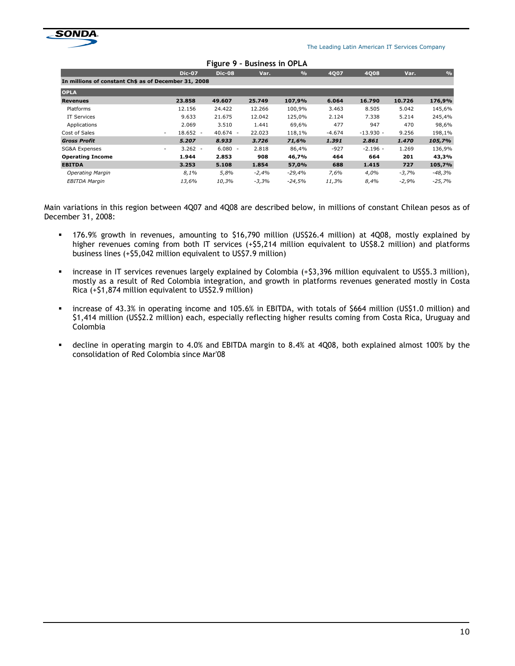

The Leading Latin American IT Services Company

|                                                      |                  |               | Figule 7 - DUSINESS III UFLA |               |          |             |         |               |
|------------------------------------------------------|------------------|---------------|------------------------------|---------------|----------|-------------|---------|---------------|
|                                                      | <b>Dic-07</b>    | <b>Dic-08</b> | Var.                         | $\frac{9}{6}$ | 4007     | 4Q08        | Var.    | $\frac{0}{0}$ |
| In millions of constant Ch\$ as of December 31, 2008 |                  |               |                              |               |          |             |         |               |
| <b>OPLA</b>                                          |                  |               |                              |               |          |             |         |               |
| <b>Revenues</b>                                      | 23.858           | 49.607        | 25.749                       | 107,9%        | 6.064    | 16.790      | 10.726  | 176,9%        |
| Platforms                                            | 12.156           | 24.422        | 12.266                       | 100,9%        | 3.463    | 8.505       | 5.042   | 145,6%        |
| <b>IT Services</b>                                   | 9.633            | 21.675        | 12.042                       | 125,0%        | 2.124    | 7.338       | 5.214   | 245,4%        |
| Applications                                         | 2.069            | 3.510         | 1.441                        | 69,6%         | 477      | 947         | 470     | 98,6%         |
| Cost of Sales                                        | $18.652 -$<br>۰. | $40.674 -$    | 22.023                       | 118,1%        | $-4.674$ | $-13.930 -$ | 9.256   | 198,1%        |
| <b>Gross Profit</b>                                  | 5.207            | 8.933         | 3.726                        | 71,6%         | 1.391    | 2.861       | 1.470   | 105,7%        |
| SG&A Expenses                                        | $3.262 -$<br>۰.  | $6.080 -$     | 2.818                        | 86,4%         | $-927$   | $-2.196 -$  | 1.269   | 136,9%        |
| <b>Operating Income</b>                              | 1.944            | 2.853         | 908                          | 46,7%         | 464      | 664         | 201     | 43,3%         |
| <b>EBITDA</b>                                        | 3.253            | 5.108         | 1.854                        | 57,0%         | 688      | 1.415       | 727     | 105,7%        |
| Operating Margin                                     | 8,1%             | 5.8%          | $-2,4%$                      | $-29,4%$      | 7,6%     | 4,0%        | $-3.7%$ | $-48,3%$      |
| EBITDA Margin                                        | 13,6%            | 10,3%         | $-3,3%$                      | -24,5%        | 11,3%    | 8,4%        | $-2,9%$ | $-25,7%$      |

#### Figure 9 – Business in OPLA

Main variations in this region between 4Q07 and 4Q08 are described below, in millions of constant Chilean pesos as of December 31, 2008:

- 176.9% growth in revenues, amounting to \$16,790 million (US\$26.4 million) at 4Q08, mostly explained by higher revenues coming from both IT services (+\$5,214 million equivalent to US\$8.2 million) and platforms business lines (+\$5,042 million equivalent to US\$7.9 million)
- increase in IT services revenues largely explained by Colombia (+\$3,396 million equivalent to US\$5.3 million), mostly as a result of Red Colombia integration, and growth in platforms revenues generated mostly in Costa Rica (+\$1,874 million equivalent to US\$2.9 million)
- increase of 43.3% in operating income and 105.6% in EBITDA, with totals of \$664 million (US\$1.0 million) and \$1,414 million (US\$2.2 million) each, especially reflecting higher results coming from Costa Rica, Uruguay and Colombia
- decline in operating margin to 4.0% and EBITDA margin to 8.4% at 4Q08, both explained almost 100% by the consolidation of Red Colombia since Mar'08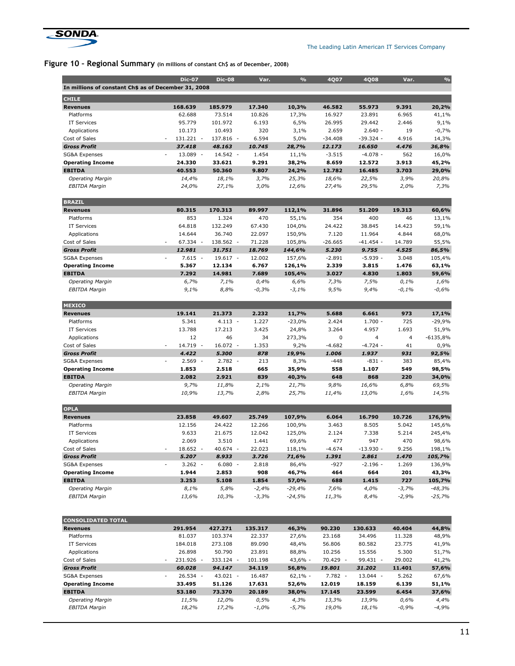

Г

The Leading Latin American IT Services Company

# Figure 10 - Regional Summary (in millions of constant Ch\$ as of December, 2008)

| In millions of constant Ch\$ as of December 31, 2008 |                                    |            |         |           |           |             |                |                |
|------------------------------------------------------|------------------------------------|------------|---------|-----------|-----------|-------------|----------------|----------------|
| <b>CHILE</b>                                         |                                    |            |         |           |           |             |                |                |
| <b>Revenues</b>                                      | 168.639                            | 185.979    | 17.340  | 10,3%     | 46.582    | 55.973      | 9.391          | 20,2%          |
| Platforms                                            | 62.688                             | 73.514     | 10.826  | 17,3%     | 16.927    | 23.891      | 6.965          | 41,1%          |
| <b>IT Services</b>                                   | 95.779                             | 101.972    | 6.193   | 6,5%      | 26.995    | 29.442      | 2.446          | 9,1%           |
| Applications                                         | 10.173                             | 10.493     | 320     | 3,1%      | 2.659     | $2.640 -$   | 19             | $-0,7%$        |
| Cost of Sales                                        | 131.221<br>$\sim$                  | 137.816 -  | 6.594   | 5,0%      | $-34.408$ | $-39.324 -$ | 4.916          | 14,3%          |
| <b>Gross Profit</b>                                  | 37.418                             | 48.163     | 10.745  | 28,7%     | 12.173    | 16.650      | 4.476          | 36,8%          |
| SG&A Expenses                                        | 13.089<br>$\overline{\phantom{a}}$ | 14.542 -   | 1.454   | 11,1%     | $-3.515$  | $-4.078 -$  | 562            | 16,0%          |
| <b>Operating Income</b>                              | 24.330                             | 33.621     | 9.291   | 38,2%     | 8.659     | 12.572      | 3.913          | 45,2%          |
| <b>EBITDA</b>                                        | 40.553                             | 50.360     | 9.807   | 24,2%     | 12.782    | 16.485      | 3.703          | 29,0%          |
| <b>Operating Margin</b>                              | 14,4%                              | 18,1%      | 3,7%    | 25,3%     | 18,6%     | 22,5%       | 3,9%           | 20,8%          |
| <b>EBITDA Margin</b>                                 | 24,0%                              | 27,1%      | 3,0%    | 12,6%     | 27,4%     | 29,5%       | 2,0%           | 7,3%           |
| <b>BRAZIL</b>                                        |                                    |            |         |           |           |             |                |                |
| <b>Revenues</b>                                      | 80.315                             | 170.313    | 89.997  | 112,1%    | 31.896    | 51.209      | 19.313         | 60,6%          |
| Platforms                                            | 853                                | 1.324      | 470     | 55,1%     | 354       | 400         | 46             | 13,1%          |
| <b>IT Services</b>                                   | 64.818                             | 132.249    | 67.430  | 104,0%    | 24.422    | 38.845      | 14.423         | 59,1%          |
| Applications                                         | 14.644                             | 36.740     | 22.097  | 150,9%    | 7.120     | 11.964      | 4.844          | 68,0%          |
| Cost of Sales                                        | 67.334 -                           | 138.562 -  | 71.228  | 105,8%    | $-26.665$ | $-41.454 -$ | 14.789         | 55,5%          |
| <b>Gross Profit</b>                                  | 12.981                             | 31.751     | 18.769  | 144,6%    | 5.230     | 9.755       | 4.525          | 86,5%          |
| <b>SG&amp;A Expenses</b>                             | $7.615 -$<br>$\overline{a}$        | $19.617 -$ | 12.002  | 157,6%    | $-2.891$  | $-5.939 -$  | 3.048          | 105,4%         |
| <b>Operating Income</b>                              | 5.367                              | 12.134     | 6.767   | 126,1%    | 2.339     | 3.815       | 1.476          | 63,1%          |
| <b>EBITDA</b>                                        | 7.292                              | 14.981     | 7.689   | 105,4%    | 3.027     | 4.830       | 1.803          | 59,6%          |
| <b>Operating Margin</b>                              | 6,7%                               | 7,1%       | 0,4%    | 6,6%      | 7,3%      | 7,5%        | 0,1%           | 1,6%           |
| <b>EBITDA Margin</b>                                 | 9,1%                               | 8,8%       | $-0,3%$ | $-3,1%$   | 9,5%      | 9,4%        | $-0,1%$        | $-0,6%$        |
| <b>MEXICO</b>                                        |                                    |            |         |           |           |             |                |                |
| <b>Revenues</b>                                      | 19.141                             | 21.373     | 2.232   | 11,7%     | 5.688     | 6.661       | 973            | 17,1%          |
| Platforms                                            | 5.341                              | $4.113 -$  | 1.227   | $-23,0%$  | 2.424     | $1.700 -$   | 725            | $-29,9%$       |
| <b>IT Services</b>                                   | 13.788                             | 17.213     | 3.425   | 24,8%     | 3.264     | 4.957       | 1.693          | 51,9%          |
| Applications                                         | 12                                 | 46         | 34      | 273,3%    | 0         | 4           | $\overline{4}$ | $-6135,8%$     |
| Cost of Sales                                        | 14.719<br>$\overline{\phantom{a}}$ | 16.072 -   | 1.353   | 9,2%      | $-4.682$  | $-4.724 -$  | 41             | 0,9%           |
| <b>Gross Profit</b>                                  | 4.422                              | 5.300      | 878     | 19,9%     | 1.006     | 1.937       | 931            | 92,5%          |
| SG&A Expenses                                        | 2.569<br>$\overline{\phantom{a}}$  | $2.782 -$  | 213     | 8,3%      | $-448$    | $-831 -$    | 383            | 85,4%          |
| <b>Operating Income</b>                              | 1.853                              | 2.518      | 665     | 35,9%     | 558       | 1.107       | 549            | 98,5%          |
| <b>EBITDA</b>                                        | 2.082                              | 2.921      | 839     | 40,3%     | 648       | 868         | 220            | 34,0%          |
| <b>Operating Margin</b>                              | 9,7%                               | 11,8%      | 2,1%    | 21,7%     | 9,8%      | 16,6%       | 6,8%           | 69,5%          |
| <b>EBITDA Margin</b>                                 | 10,9%                              | 13,7%      | 2,8%    | 25,7%     | 11,4%     | 13,0%       | 1,6%           | 14,5%          |
| <b>OPLA</b>                                          |                                    |            |         |           |           |             |                |                |
| <b>Revenues</b>                                      | 23.858                             | 49.607     | 25.749  | 107,9%    | 6.064     | 16.790      | 10.726         | 176,9%         |
| Platforms                                            | 12.156                             | 24.422     | 12.266  | 100,9%    | 3.463     | 8.505       | 5.042          | 145,6%         |
| IT Services                                          | 9.633                              | 21.675     | 12.042  | 125,0%    | 2.124     | 7.338       | 5.214          | 245,4%         |
| Applications                                         | 2.069                              | 3.510      | 1.441   | 69,6%     | 477       | 947         | 470            | 98,6%          |
| Cost of Sales                                        | 18.652<br>$\overline{\phantom{a}}$ | 40.674 -   | 22.023  | 118,1%    | $-4.674$  | $-13.930 -$ | 9.256          | 198,1%         |
| <b>Gross Profit</b>                                  | 5.207                              | 8.933      | 3.726   | 71,6%     | 1.391     | 2.861       | 1.470          | 105,7%         |
| SG&A Expenses                                        | $3.262 -$                          | $6.080 -$  | 2.818   | 86,4%     | $-927$    | $-2.196 -$  | 1.269          | 136,9%         |
| <b>Operating Income</b>                              | 1.944                              | 2.853      | 908     | 46,7%     | 464       | 664         | 201            | 43,3%          |
| <b>EBITDA</b>                                        | 3.253                              | 5.108      | 1.854   | 57,0%     | 688       | 1.415       | 727            | 105,7%         |
| <b>Operating Margin</b>                              | 8,1%                               | 5,8%       | $-2,4%$ | $-29,4%$  | 7,6%      | 4,0%        | $-3,7%$        | $-48,3%$       |
| <b>EBITDA Margin</b>                                 | 13,6%                              | 10,3%      | $-3,3%$ | $-24,5%$  | 11,3%     | 8,4%        | $-2,9%$        | $-25,7%$       |
|                                                      |                                    |            |         |           |           |             |                |                |
|                                                      |                                    |            |         |           |           |             |                |                |
| <b>CONSOLIDATED TOTAL</b>                            |                                    |            |         |           |           |             |                |                |
| <b>Revenues</b>                                      | 291.954                            | 427.271    | 135.317 | 46,3%     | 90.230    | 130.633     | 40.404         | 44,8%          |
| Platforms                                            | 81.037                             | 103.374    | 22.337  | 27,6%     | 23.168    | 34.496      | 11.328         | 48,9%          |
| IT Services                                          | 184.018                            | 273.108    | 89.090  | 48,4%     | 56.806    | 80.582      | 23.775         | 41,9%          |
| Applications                                         | 26.898                             | 50.790     | 23.891  | 88,8%     | 10.256    | 15.556      | 5.300          | 51,7%          |
| Cost of Sales                                        | 231.926 -                          | 333.124 -  | 101.198 | 43,6% -   | 70.429 -  | 99.431 -    | 29.002         | 41,2%          |
| <b>Gross Profit</b>                                  | 60.028                             | 94.147     | 34.119  | 56,8%     | 19.801    | 31.202      | 11.401         |                |
| SG&A Expenses                                        | 26.534 -                           | 43.021 -   | 16.487  | $62,1% -$ | 7.782 -   | 13.044 -    | 5.262          | 67,6%          |
| <b>Operating Income</b>                              | 33.495                             | 51.126     | 17.631  | 52,6%     | 12.019    | 18.159      | 6.139          | 57,6%<br>51,1% |
| <b>EBITDA</b>                                        | 53.180                             | 73.370     | 20.189  | 38,0%     | 17.145    | 23.599      | 6.454          | 37,6%          |
| <b>Operating Margin</b>                              | 11,5%                              | 12,0%      | 0,5%    | 4,3%      | 13,3%     | 13,9%       | 0,6%           | 4,4%           |

Dic-07 Dic-08 Var. % 4Q07 4Q08 Var. %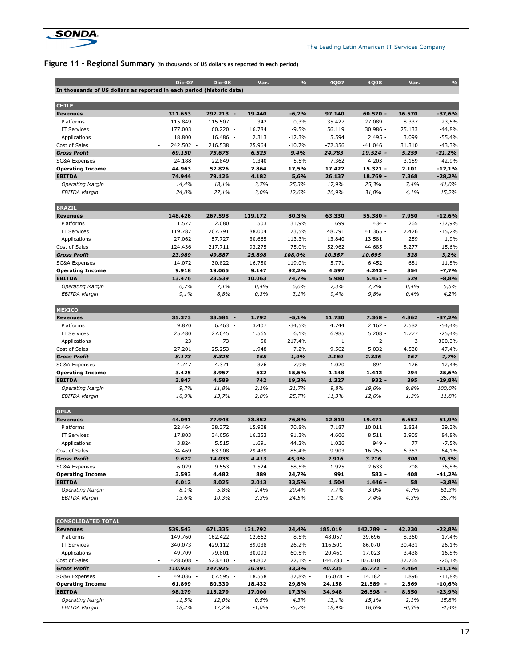

The Leading Latin American IT Services Company

# Figure 11 – Regional Summary (in thousands of US dollars as reported in each period)

|                                                                       | <b>Dic-07</b>      | <b>Dic-08</b>      | Var.             | $\frac{9}{6}$    | 4Q07                 | <b>4Q08</b>        | Var.           | $\frac{9}{6}$      |
|-----------------------------------------------------------------------|--------------------|--------------------|------------------|------------------|----------------------|--------------------|----------------|--------------------|
| In thousands of US dollars as reported in each period (historic data) |                    |                    |                  |                  |                      |                    |                |                    |
|                                                                       |                    |                    |                  |                  |                      |                    |                |                    |
| <b>CHILE</b>                                                          |                    |                    |                  |                  |                      |                    |                |                    |
| <b>Revenues</b>                                                       | 311.653            | 292.213 -          | 19.440           | $-6,2%$          | 97.140               | 60.570 -           | 36.570         | $-37,6%$           |
| Platforms                                                             | 115.849            | 115.507 -          | 342              | $-0,3%$          | 35.427               | $27.089 -$         | 8.337          | $-23,5%$           |
| <b>IT Services</b>                                                    | 177.003            | 160.220 -          | 16.784           | $-9,5%$          | 56.119               | $30.986 -$         | 25.133         | $-44,8%$           |
| Applications                                                          | 18.800             | 16.486 -           | 2.313            | $-12,3%$         | 5.594                | $2.495 -$          | 3.099          | $-55,4%$           |
| Cost of Sales                                                         | 242.502 -          | 216.538            | 25.964           | $-10,7%$         | $-72.356$            | $-41.046$          | 31.310         | $-43,3%$           |
| <b>Gross Profit</b>                                                   | 69.150             | 75.675             | 6.525            | 9,4%             | 24.783               | 19.524 -           | 5.259          | $-21,2%$           |
| SG&A Expenses                                                         | 24.188 -           | 22.849             | 1.340            | $-5,5%$          | $-7.362$             | $-4.203$           | 3.159          | $-42,9%$           |
| <b>Operating Income</b>                                               | 44.963             | 52.826<br>79.126   | 7.864            | 17,5%            | 17.422               | $15.321 -$         | 2.101          | $-12,1%$           |
| <b>EBITDA</b>                                                         | 74.944             |                    | 4.182            | 5,6%             | 26.137               | $18.769 -$         | 7.368          | $-28,2%$           |
| <b>Operating Margin</b><br><b>EBITDA Margin</b>                       | 14,4%<br>24,0%     | 18,1%<br>27,1%     | 3,7%<br>3,0%     | 25,3%<br>12,6%   | 17,9%<br>26,9%       | 25,3%<br>31,0%     | 7,4%<br>4,1%   | 41,0%<br>15,2%     |
| <b>BRAZIL</b>                                                         |                    |                    |                  |                  |                      |                    |                |                    |
| <b>Revenues</b>                                                       | 148.426            | 267.598            | 119.172          | 80,3%            | 63.330               | 55.380 -           | 7.950          | $-12,6%$           |
| Platforms                                                             | 1.577              | 2.080              | 503              | 31,9%            | 699                  | 434 -              | 265            | $-37,9%$           |
| <b>IT Services</b>                                                    | 119.787            | 207.791            | 88.004           | 73,5%            | 48.791               | 41.365 -           | 7.426          | $-15,2%$           |
| Applications                                                          | 27.062             | 57.727             | 30.665           | 113,3%           | 13.840               | $13.581 -$         | 259            | $-1,9%$            |
| Cost of Sales                                                         | 124.436 -<br>٠     | 217.711 -          | 93.275           | 75,0%            | $-52.962$            | $-44.685$          | 8.277          | $-15,6%$           |
| <b>Gross Profit</b>                                                   | 23.989             | 49.887             | 25.898           | 108,0%           | 10.367               | 10.695             | 328            | 3,2%               |
| SG&A Expenses                                                         | 14.072 -           | $30.822 -$         | 16.750           | 119,0%           | $-5.771$             | $-6.452 -$         | 681            | 11,8%              |
| <b>Operating Income</b>                                               | 9.918              | 19.065             | 9.147            | 92,2%            | 4.597                | $4.243 -$          | 354            | -7,7%              |
| <b>EBITDA</b>                                                         | 13.476             | 23.539             | 10.063           | 74,7%            | 5.980                | $5.451 -$          | 529            | $-8,8%$            |
| <b>Operating Margin</b>                                               | 6,7%               | 7,1%               | 0,4%             | 6,6%             | 7,3%                 | 7,7%               | 0,4%           | 5,5%               |
| <b>EBITDA Margin</b>                                                  | 9,1%               | 8,8%               | $-0,3%$          | $-3,1%$          | 9,4%                 | 9,8%               | 0,4%           | 4,2%               |
| <b>MEXICO</b>                                                         |                    |                    |                  |                  |                      |                    |                |                    |
| <b>Revenues</b>                                                       | 35.373             | $33.581 -$         | 1.792            | $-5,1%$          | 11.730               | $7.368 -$          | 4.362          | $-37,2%$           |
| Platforms                                                             | 9.870              | $6.463 -$          | 3.407            | $-34,5%$         | 4.744                | $2.162 -$          | 2.582          | $-54,4%$           |
| IT Services                                                           | 25.480             | 27.045             | 1.565            | 6,1%             | 6.985                | $5.208 -$          | 1.777          | $-25,4%$           |
| Applications                                                          | 23                 | 73                 | 50               | 217,4%           | $1\,$                | $-2 -$             | 3              | $-300,3%$          |
| Cost of Sales                                                         | $27.201 -$         | 25.253             | 1.948            | $-7,2%$          | $-9.562$             | $-5.032$           | 4.530          | $-47,4%$           |
| <b>Gross Profit</b>                                                   | 8.173              | 8.328              | 155              | 1,9%             | 2.169                | 2.336              | 167            | 7,7%               |
| SG&A Expenses                                                         | $4.747 -$          | 4.371              | 376              | $-7,9%$          | $-1.020$             | $-894$             | 126            | $-12,4%$           |
| <b>Operating Income</b>                                               | 3.425              | 3.957              | 532              | 15,5%            | 1.148                | 1.442              | 294            | 25,6%              |
| <b>EBITDA</b>                                                         | 3.847              | 4.589              | 742              | 19,3%            | 1.327                | $932 -$            | 395            | $-29,8%$           |
| <b>Operating Margin</b><br><b>EBITDA Margin</b>                       | 9,7%<br>10,9%      | 11,8%<br>13,7%     | 2,1%<br>2,8%     | 21,7%<br>25,7%   | 9,8%<br>11,3%        | 19,6%<br>12,6%     | 9,8%<br>1,3%   | 100,0%<br>11,8%    |
|                                                                       |                    |                    |                  |                  |                      |                    |                |                    |
| <b>OPLA</b>                                                           |                    |                    |                  |                  |                      |                    |                |                    |
| <b>Revenues</b>                                                       | 44.091             | 77.943             | 33.852           | 76,8%            | 12.819               | 19.471             | 6.652          | 51,9%              |
| Platforms                                                             | 22.464             | 38.372             | 15.908           | 70,8%            | 7.187                | 10.011             | 2.824          | 39,3%              |
| <b>IT Services</b>                                                    | 17.803<br>3.824    | 34.056<br>5.515    | 16.253           | 91,3%            | 4.606                | 8.511<br>949 -     | 3.905<br>77    | 84,8%              |
| Applications<br>Cost of Sales                                         | 34.469 -           | 63.908 -           | 1.691<br>29.439  | 44,2%<br>85,4%   | 1.026<br>$-9.903$    | $-16.255 -$        | 6.352          | $-7,5%$<br>64,1%   |
|                                                                       | 9.622              | 14.035             | 4.413            | 45,9%            | 2.916                | 3.216              | 300            |                    |
| <b>Gross Profit</b><br>SG&A Expenses                                  | $6.029 -$          | $9.553 -$          | 3.524            | 58,5%            | $-1.925$             | $-2.633 -$         | 708            | 10,3%<br>36,8%     |
| <b>Operating Income</b>                                               | 3.593              | 4.482              | 889              | 24,7%            | 991                  | 583 -              | 408            | -41,2%             |
| <b>EBITDA</b>                                                         | 6.012              | 8.025              | 2.013            | 33,5%            | 1.504                | $1.446 -$          | 58             | $-3,8%$            |
| <b>Operating Margin</b>                                               | 8,1%               | 5,8%               | $-2,4%$          | $-29,4%$         | 7,7%                 | 3,0%               | $-4,7%$        | $-61,3%$           |
| <b>EBITDA Margin</b>                                                  | 13,6%              | 10,3%              | $-3,3%$          | $-24,5%$         | 11,7%                | 7,4%               | $-4,3%$        | $-36,7%$           |
|                                                                       |                    |                    |                  |                  |                      |                    |                |                    |
| <b>CONSOLIDATED TOTAL</b>                                             |                    |                    |                  |                  |                      |                    |                |                    |
| <b>Revenues</b>                                                       | 539.543            | 671.335            | 131.792          | 24,4%            | 185.019              | 142.789 -          | 42.230         | $-22,8%$           |
| Platforms                                                             | 149.760            | 162.422            | 12.662           | 8,5%             | 48.057               | 39.696 -           | 8.360          | $-17,4%$           |
| IT Services                                                           | 340.073            | 429.112            | 89.038           | 26,2%            | 116.501              | 86.070 -           | 30.431         | $-26,1%$           |
| Applications                                                          | 49.709             | 79.801             | 30.093           | 60,5%            | 20.461               | 17.023 -           | 3.438          | $-16,8%$           |
| Cost of Sales                                                         | 428.608 -          | 523.410 -          | 94.802           | $22,1%$ -        | 144.783 -            | 107.018            | 37.765         | $-26,1%$           |
| <b>Gross Profit</b>                                                   | 110.934            | 147.925            | 36.991           | 33,3%            | 40.235               | 35.771 -           | 4.464          | $-11,1%$           |
| SG&A Expenses<br><b>Operating Income</b>                              | 49.036 -<br>61.899 | 67.595 -<br>80.330 | 18.558<br>18.432 | 37,8% -<br>29,8% | $16.078 -$<br>24.158 | 14.182<br>21.589 - | 1.896<br>2.569 | $-11,8%$<br>-10,6% |
| <b>EBITDA</b>                                                         | 98.279             | 115.279            | 17.000           | 17,3%            | 34.948               | 26.598 -           | 8.350          | $-23,9%$           |
| <b>Operating Margin</b>                                               | 11,5%              | 12,0%              | 0,5%             | 4,3%             | 13,1%                | 15,1%              | 2,1%           | 15,8%              |
| <b>EBITDA Margin</b>                                                  | 18,2%              | 17,2%              | $-1,0%$          | $-5,7%$          | 18,9%                | 18,6%              | $-0,3%$        | $-1,4%$            |
|                                                                       |                    |                    |                  |                  |                      |                    |                |                    |